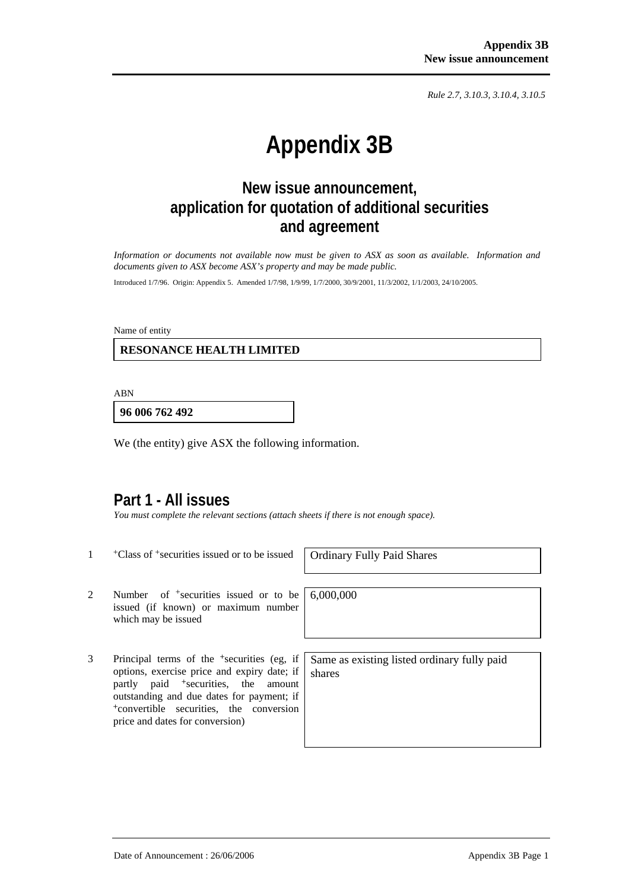*Rule 2.7, 3.10.3, 3.10.4, 3.10.5*

# **Appendix 3B**

# **New issue announcement, application for quotation of additional securities and agreement**

*Information or documents not available now must be given to ASX as soon as available. Information and documents given to ASX become ASX's property and may be made public.* 

Introduced 1/7/96. Origin: Appendix 5. Amended 1/7/98, 1/9/99, 1/7/2000, 30/9/2001, 11/3/2002, 1/1/2003, 24/10/2005.

Name of entity

 **RESONANCE HEALTH LIMITED** 

ABN

**96 006 762 492**

We (the entity) give ASX the following information.

### **Part 1 - All issues**

*You must complete the relevant sections (attach sheets if there is not enough space).* 

<sup>+</sup>Class of <sup>+</sup>securities issued or to be issued | Ordinary Fully Paid Shares

2 Number of <sup>+</sup>securities issued or to be issued (if known) or maximum number which may be issued

3 Principal terms of the +securities (eg, if options, exercise price and expiry date; if partly paid <sup>+</sup>securities, the amount outstanding and due dates for payment; if <sup>+</sup>convertible securities, the conversion price and dates for conversion)

6,000,000

Same as existing listed ordinary fully paid shares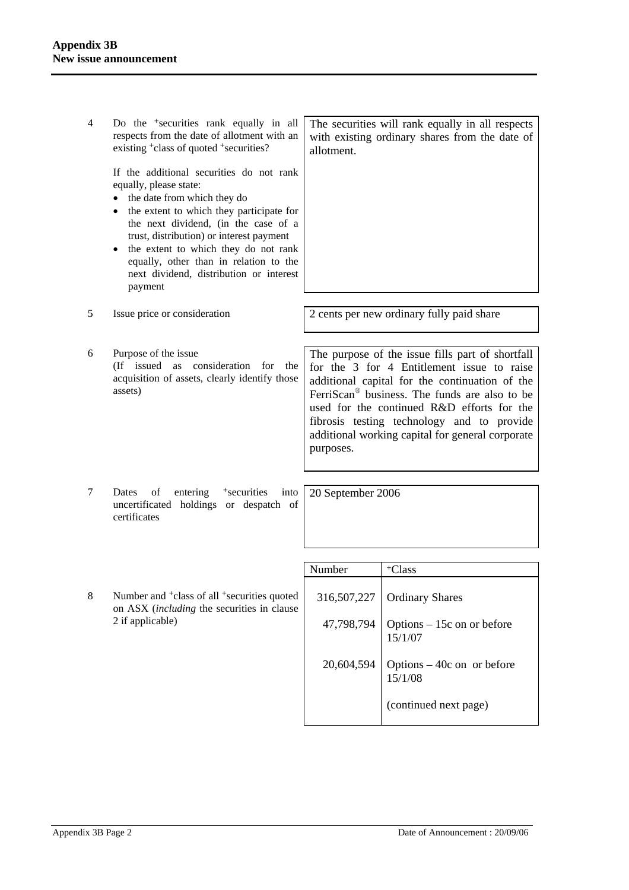4 Do the +securities rank equally in all respects from the date of allotment with an existing <sup>+</sup>class of quoted <sup>+</sup>securities?

> If the additional securities do not rank equally, please state:

- the date from which they do
- the extent to which they participate for the next dividend, (in the case of a trust, distribution) or interest payment
- the extent to which they do not rank equally, other than in relation to the next dividend, distribution or interest payment

5 Issue price or consideration 2 cents per new ordinary fully paid share

- 
- 6 Purpose of the issue (If issued as consideration for the acquisition of assets, clearly identify those assets)

The purpose of the issue fills part of shortfall for the 3 for 4 Entitlement issue to raise additional capital for the continuation of the FerriScan® business. The funds are also to be used for the continued R&D efforts for the fibrosis testing technology and to provide additional working capital for general corporate purposes.

7 Dates of entering <sup>+</sup>securities into uncertificated holdings or despatch of certificates

20 September 2006

8 Number and <sup>+</sup>class of all <sup>+</sup>securities quoted on ASX (*including* the securities in clause 2 if applicable)

| Number      | <sup>+</sup> Class                               |
|-------------|--------------------------------------------------|
| 316,507,227 | <b>Ordinary Shares</b>                           |
|             | 47,798,794 Options – 15c on or before<br>15/1/07 |
| 20,604,594  | Options $-40c$ on or before<br>15/1/08           |
|             | (continued next page)                            |

The securities will rank equally in all respects with existing ordinary shares from the date of allotment.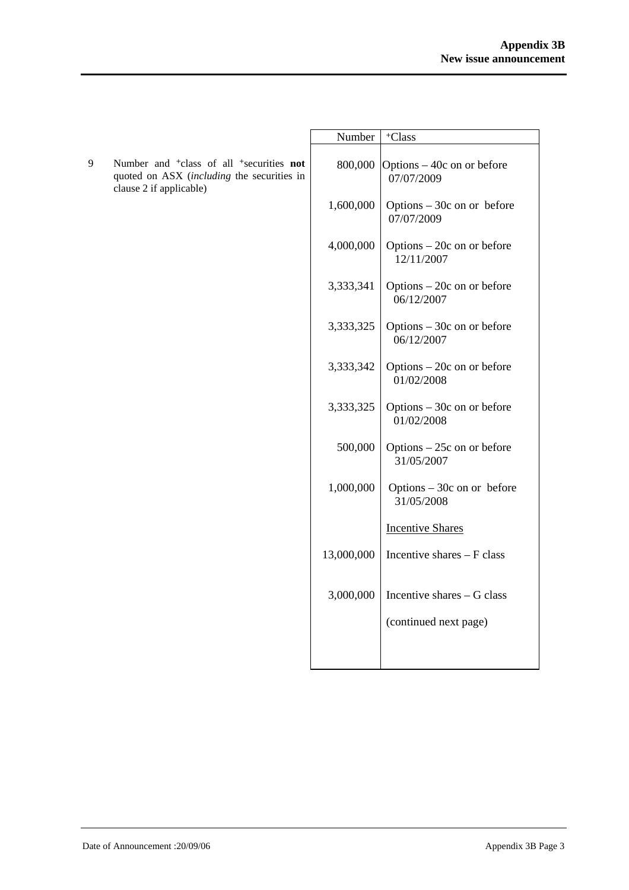|   |                                                                                                                                                  | Number     | <sup>+</sup> Class                        |
|---|--------------------------------------------------------------------------------------------------------------------------------------------------|------------|-------------------------------------------|
| 9 | Number and <sup>+</sup> class of all <sup>+</sup> securities <b>not</b><br>quoted on ASX (including the securities in<br>clause 2 if applicable) | 800,000    | Options – 40c on or before<br>07/07/2009  |
|   |                                                                                                                                                  | 1,600,000  | Options $-30c$ on or before<br>07/07/2009 |
|   |                                                                                                                                                  | 4,000,000  | Options - 20c on or before<br>12/11/2007  |
|   |                                                                                                                                                  | 3,333,341  | Options $-20c$ on or before<br>06/12/2007 |
|   |                                                                                                                                                  | 3,333,325  | Options $-30c$ on or before<br>06/12/2007 |
|   |                                                                                                                                                  | 3,333,342  | Options $-20c$ on or before<br>01/02/2008 |
|   |                                                                                                                                                  | 3,333,325  | Options $-30c$ on or before<br>01/02/2008 |
|   |                                                                                                                                                  | 500,000    | Options $-25c$ on or before<br>31/05/2007 |
|   |                                                                                                                                                  | 1,000,000  | Options $-30c$ on or before<br>31/05/2008 |
|   |                                                                                                                                                  |            | <b>Incentive Shares</b>                   |
|   |                                                                                                                                                  | 13,000,000 | Incentive shares - F class                |
|   |                                                                                                                                                  | 3,000,000  | Incentive shares - G class                |
|   |                                                                                                                                                  |            | (continued next page)                     |
|   |                                                                                                                                                  |            |                                           |
|   |                                                                                                                                                  |            |                                           |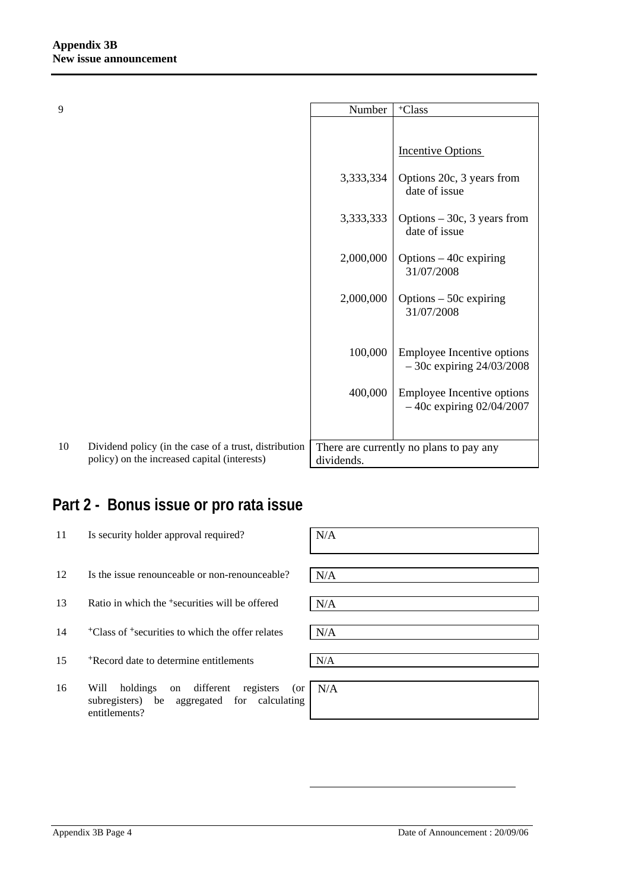| 9  |                                                                                                       | Number     | <sup>+</sup> Class                                         |
|----|-------------------------------------------------------------------------------------------------------|------------|------------------------------------------------------------|
|    |                                                                                                       |            |                                                            |
|    |                                                                                                       |            | <b>Incentive Options</b>                                   |
|    |                                                                                                       | 3,333,334  | Options 20c, 3 years from<br>date of issue                 |
|    |                                                                                                       | 3,333,333  | Options $-30c$ , 3 years from<br>date of issue             |
|    |                                                                                                       | 2,000,000  | Options $-40c$ expiring<br>31/07/2008                      |
|    |                                                                                                       | 2,000,000  | Options $-50c$ expiring<br>31/07/2008                      |
|    |                                                                                                       |            |                                                            |
|    |                                                                                                       | 100,000    | Employee Incentive options<br>$-30c$ expiring $24/03/2008$ |
|    |                                                                                                       | 400,000    | Employee Incentive options<br>$-40c$ expiring 02/04/2007   |
|    |                                                                                                       |            |                                                            |
| 10 | Dividend policy (in the case of a trust, distribution<br>policy) on the increased capital (interests) | dividends. | There are currently no plans to pay any                    |

# **Part 2 - Bonus issue or pro rata issue**

| 11 | Is security holder approval required?                                                                                   | N/A |
|----|-------------------------------------------------------------------------------------------------------------------------|-----|
| 12 | Is the issue renounceable or non-renounceable?                                                                          | N/A |
| 13 | Ratio in which the <sup>+</sup> securities will be offered                                                              | N/A |
| 14 | <sup>+</sup> Class of <sup>+</sup> securities to which the offer relates                                                | N/A |
| 15 | *Record date to determine entitlements                                                                                  | N/A |
| 16 | different<br>Will<br>holdings<br>registers<br>(or<br>on<br>subregisters) be aggregated for calculating<br>entitlements? | N/A |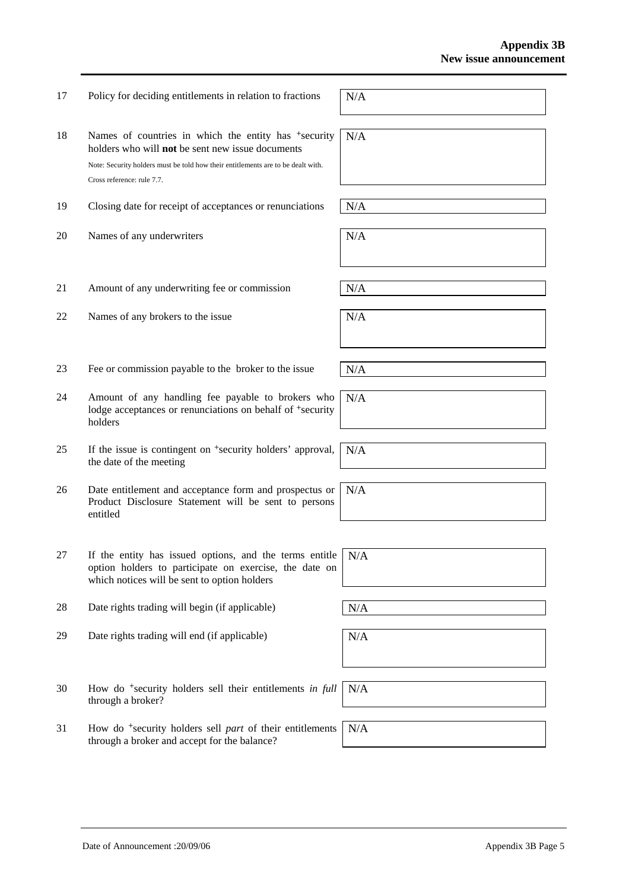18 Names of countries in which the entity has <sup>+</sup>security holders who will **not** be sent new issue documents Note: Security holders must be told how their entitlements are to be dealt with. Cross reference: rule 7.7. N/A 19 Closing date for receipt of acceptances or renunciations  $N/A$ 20 Names of any underwriters  $N/A$ 

17 Policy for deciding entitlements in relation to fractions  $N/A$ 

- 21 Amount of any underwriting fee or commission  $N/A$
- 22 Names of any brokers to the issue  $N/A$
- 23 Fee or commission payable to the broker to the issue  $N/A$
- 24 Amount of any handling fee payable to brokers who lodge acceptances or renunciations on behalf of <sup>+</sup>security holders
- 25 If the issue is contingent on +security holders' approval, the date of the meeting
- 26 Date entitlement and acceptance form and prospectus or Product Disclosure Statement will be sent to persons entitled
- 27 If the entity has issued options, and the terms entitle option holders to participate on exercise, the date on which notices will be sent to option holders
- 28 Date rights trading will begin (if applicable)  $N/A$
- 29 Date rights trading will end (if applicable)  $N/A$
- 30 How do +security holders sell their entitlements *in full* through a broker? N/A
- 31 How do +security holders sell *part* of their entitlements through a broker and accept for the balance?

N/A

N/A

N/A

N/A

N/A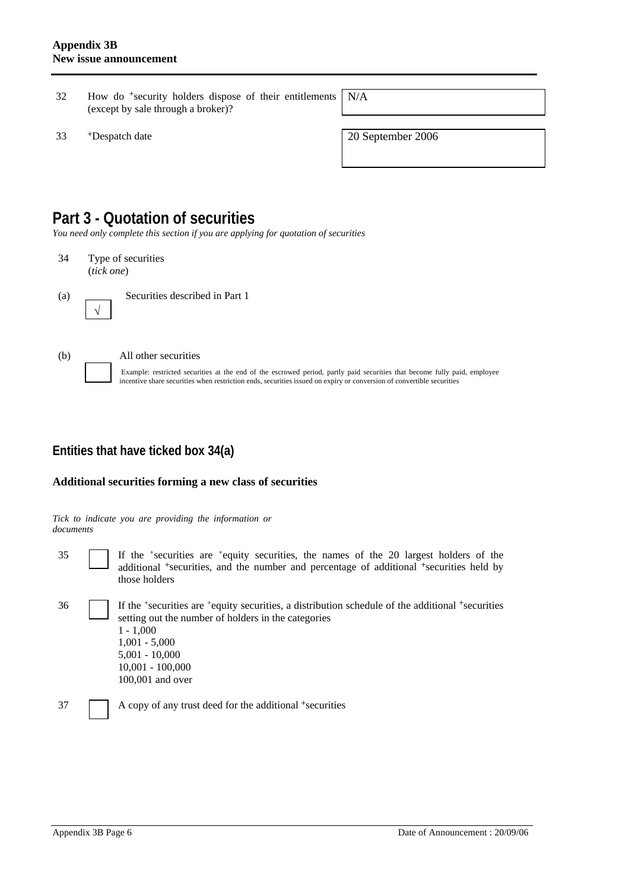- 32 How do +security holders dispose of their entitlements (except by sale through a broker)?
- <sup>+</sup>Despatch date 2006

N/A

## **Part 3 - Quotation of securities**

*You need only complete this section if you are applying for quotation of securities* 

34 Type of securities (*tick one*)



(a) Securities described in Part 1



√

#### (b) All other securities

Example: restricted securities at the end of the escrowed period, partly paid securities that become fully paid, employee incentive share securities when restriction ends, securities issued on expiry or conversion of convertible securities

### **Entities that have ticked box 34(a)**

#### **Additional securities forming a new class of securities**

*Tick to indicate you are providing the information or documents*

35 If the +securities are +equity securities, the names of the 20 largest holders of the additional <sup>+</sup>securities, and the number and percentage of additional <sup>+</sup>securities held by those holders

36 If the +securities are +equity securities, a distribution schedule of the additional +securities setting out the number of holders in the categories  $1 - 1,000$ 1,001 - 5,000 5,001 - 10,000 10,001 - 100,000 100,001 and over

37 A copy of any trust deed for the additional +securities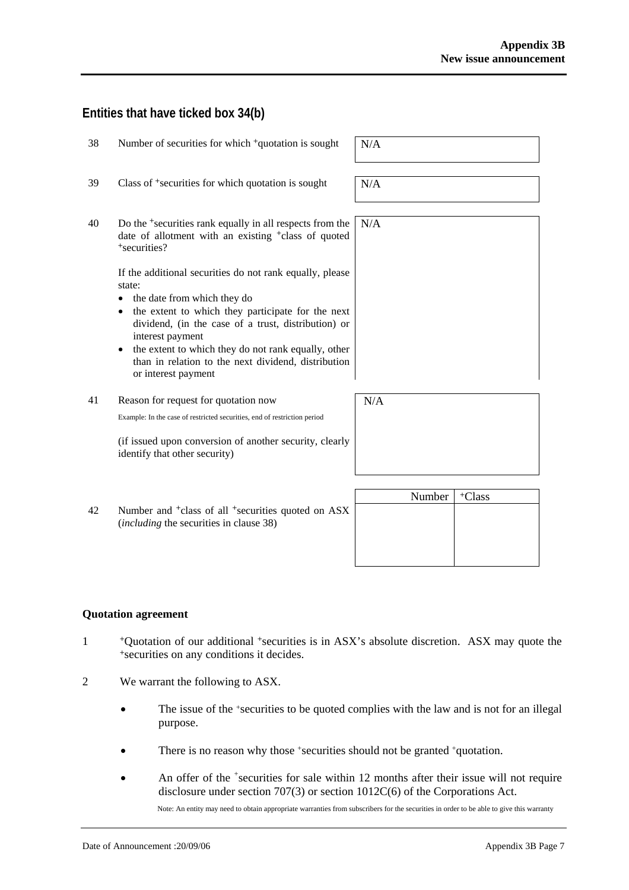### **Entities that have ticked box 34(b)**

| 38 | Number of securities for which <sup>+</sup> quotation is sought                                                                                                                                               | N/A    |
|----|---------------------------------------------------------------------------------------------------------------------------------------------------------------------------------------------------------------|--------|
| 39 | Class of <sup>+</sup> securities for which quotation is sought                                                                                                                                                | N/A    |
| 40 | Do the <sup>+</sup> securities rank equally in all respects from the<br>date of allotment with an existing <sup>+</sup> class of quoted<br><sup>+</sup> securities?                                           | N/A    |
|    | If the additional securities do not rank equally, please<br>state:<br>the date from which they do<br>the extent to which they participate for the next<br>dividend, (in the case of a trust, distribution) or |        |
|    | interest payment<br>the extent to which they do not rank equally, other<br>than in relation to the next dividend, distribution<br>or interest payment                                                         |        |
| 41 | Reason for request for quotation now                                                                                                                                                                          | N/A    |
|    | Example: In the case of restricted securities, end of restriction period                                                                                                                                      |        |
|    | (if issued upon conversion of another security, clearly<br>identify that other security)                                                                                                                      |        |
|    |                                                                                                                                                                                                               | $\sim$ |

Number | <sup>+</sup>Class 42 Number and <sup>+</sup>class of all <sup>+</sup>securities quoted on ASX (*including* the securities in clause 38)

#### **Quotation agreement**

- <sup>+</sup>Quotation of our additional <sup>+</sup>securities is in ASX's absolute discretion. ASX may quote the <sup>+</sup>securities on any conditions it decides.
- 2 We warrant the following to ASX.
	- The issue of the +securities to be quoted complies with the law and is not for an illegal purpose.
	- There is no reason why those +securities should not be granted +quotation.
	- An offer of the <sup>+</sup>securities for sale within 12 months after their issue will not require disclosure under section 707(3) or section 1012C(6) of the Corporations Act.

Note: An entity may need to obtain appropriate warranties from subscribers for the securities in order to be able to give this warranty